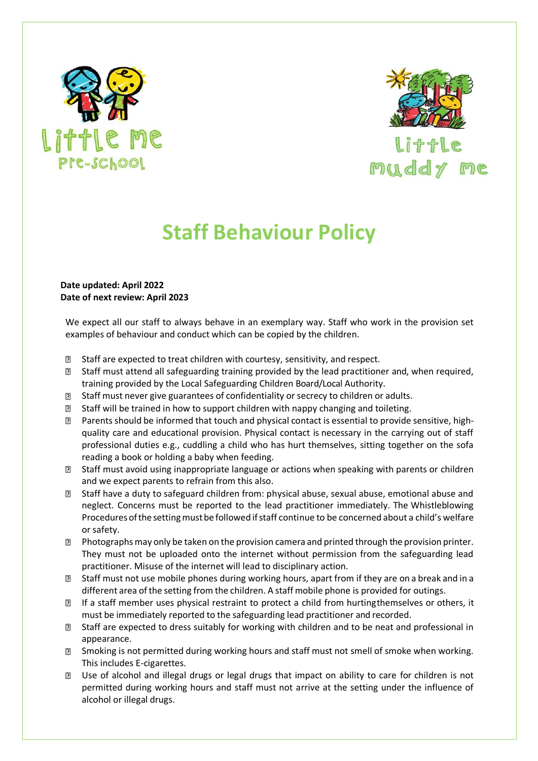



## **Staff Behaviour Policy**

## **Date updated: April 2022 Date of next review: April 2023**

We expect all our staff to always behave in an exemplary way. Staff who work in the provision set examples of behaviour and conduct which can be copied by the children.

- $\overline{?}$ Staff are expected to treat children with courtesy, sensitivity, and respect.
- **If** Staff must attend all safeguarding training provided by the lead practitioner and, when required, training provided by the Local Safeguarding Children Board/Local Authority.
- Staff must never give guarantees of confidentiality or secrecy to children or adults.
- $\boxtimes$  Staff will be trained in how to support children with nappy changing and toileting.
- $\Box$  Parents should be informed that touch and physical contact is essential to provide sensitive, highquality care and educational provision. Physical contact is necessary in the carrying out of staff professional duties e.g., cuddling a child who has hurt themselves, sitting together on the sofa reading a book or holding a baby when feeding.
- Staff must avoid using inappropriate language or actions when speaking with parents or children and we expect parents to refrain from this also.
- Staff have a duty to safeguard children from: physical abuse, sexual abuse, emotional abuse and neglect. Concerns must be reported to the lead practitioner immediately. The Whistleblowing Procedures of the setting must be followed if staff continue to be concerned about a child's welfare or safety.
- $\mathbb D$  Photographs may only be taken on the provision camera and printed through the provision printer. They must not be uploaded onto the internet without permission from the safeguarding lead practitioner. Misuse of the internet will lead to disciplinary action.
- Staff must not use mobile phones during working hours, apart from if they are on a break and in a different area of the setting from the children. A staff mobile phone is provided for outings.
- **If a staff member uses physical restraint to protect a child from hurtingthemselves or others, it** must be immediately reported to the safeguarding lead practitioner and recorded.
- Staff are expected to dress suitably for working with children and to be neat and professional in appearance.
- Smoking is not permitted during working hours and staff must not smell of smoke when working.  $\overline{?}$ This includes E-cigarettes.
- Use of alcohol and illegal drugs or legal drugs that impact on ability to care for children is not permitted during working hours and staff must not arrive at the setting under the influence of alcohol or illegal drugs.